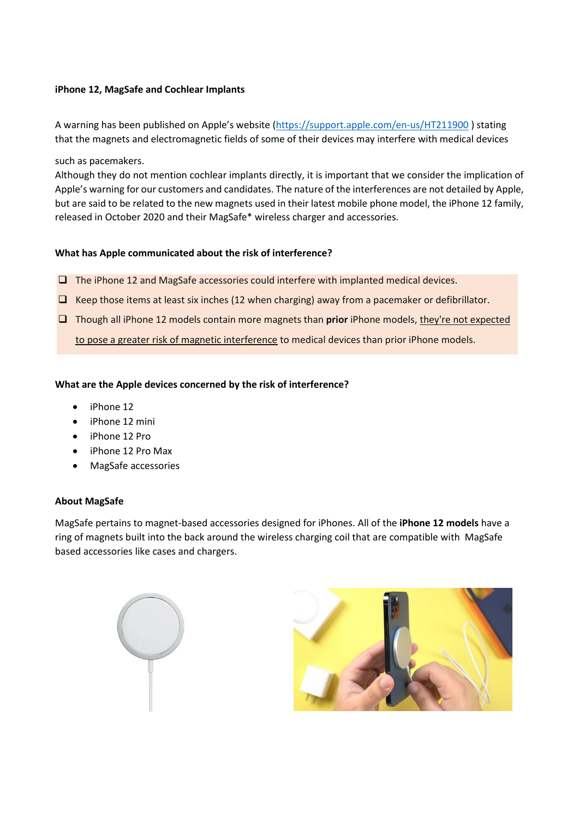# **iPhone 12, MagSafe and Cochlear Implants**

A warning has been published on Apple's website (<https://support.apple.com/en-us/HT211900> ) stating that the magnets and electromagnetic fields of some of their devices may interfere with medical devices

such as pacemakers.

Although they do not mention cochlear implants directly, it is important that we consider the implication of Apple's warning for our customers and candidates. The nature of the interferences are not detailed by Apple, but are said to be related to the new magnets used in their latest mobile phone model, the iPhone 12 family, released in October 2020 and their MagSafe\* wireless charger and accessories.

# **What has Apple communicated about the risk of interference?**

- $\Box$  The iPhone 12 and MagSafe accessories could interfere with implanted medical devices.
- $\Box$  Keep those items at least six inches (12 when charging) away from a pacemaker or defibrillator.
- Though all iPhone 12 models contain more magnets than **prior** iPhone models, they're not expected to pose a greater risk of magnetic interference to medical devices than prior iPhone models.

# **What are the Apple devices concerned by the risk of interference?**

- iPhone 12
- iPhone 12 mini
- iPhone 12 Pro
- iPhone 12 Pro Max
- MagSafe accessories

### **About MagSafe**

MagSafe pertains to magnet-based accessories designed for iPhones. All of the **iPhone 12 models** have a ring of magnets built into the back around the wireless charging coil that are compatible with MagSafe based accessories like cases and chargers.